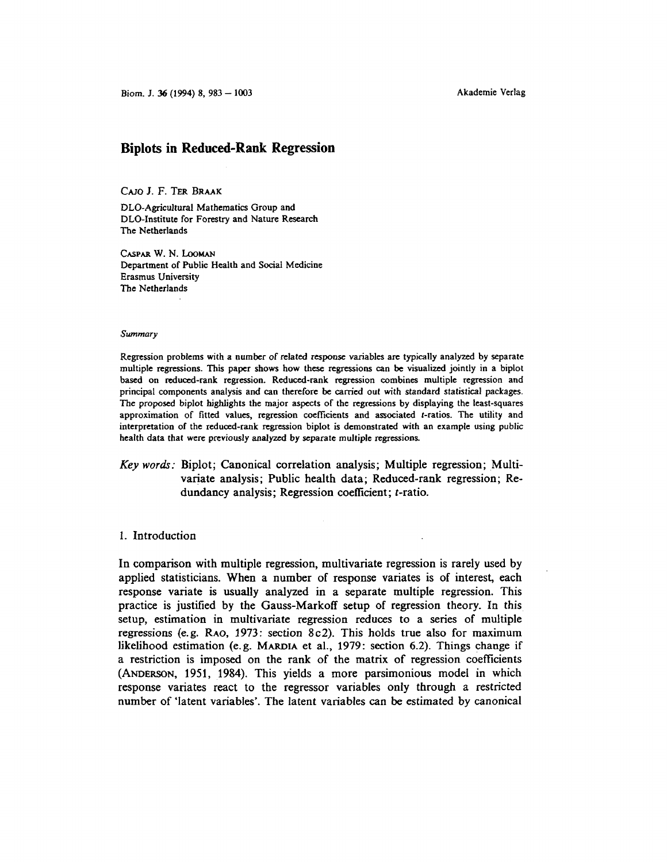# **Biplots in Reduced-Rank Regression**

### CAJO J. F. TER BRAAK

DLO-Agricultural Mathematics Group and DLO-Institute for Forestry and Nature Research The Netherlands

CASPAR w. N. LooMAN Department of Public Health and Social Medicine Erasmus University The Netherlands

#### *Summary*

Regression problems with a number of related response variables are typically analyzed by separate multiple regressions. This paper shows how these regressions can be visualized jointly in a biplot based on reduced-rank regression. Reduced-rank regression combines multiple regression and principal components analysis and can therefore be carried out with standard statistical packages. The proposed biplot highlights the major aspects of the regressions by displaying the least-squares approximation of fitted values, regression coefficients and associated t-ratios. The utility and interpretation of the reduced-rank regression biplot is demonstrated with an example using public health data that were previously analyzed by separate multiple regressions.

# *Key words:* Biplot; Canonical correlation analysis; Multiple regression; Multivariate analysis; Public health data; Reduced-rank regression; Redundancy analysis; Regression coefficient; t-ratio.

## 1. Introduction

In comparison with multiple regression, multivariate regression is rarely used by applied statisticians. When a number of response variates is of interest, each response variate is usually analyzed in a separate multiple regression. This practice is justified by the Gauss-Markoff setup of regression theory. In this setup, estimation in multivariate regression reduces to a series of multiple regressions (e.g. RAO, 1973: section 8c2). This holds true also for maximum likelihood estimation (e.g. MARDIA et al., 1979: section 6.2). Things change if a restriction is imposed on the rank of the matrix of regression coefficients (ANDERSON, 1951, 1984). This yields a more parsimonious model in which response variates react to the regressor variables only through a restricted number of 'latent variables'. The latent variables can be estimated by canonical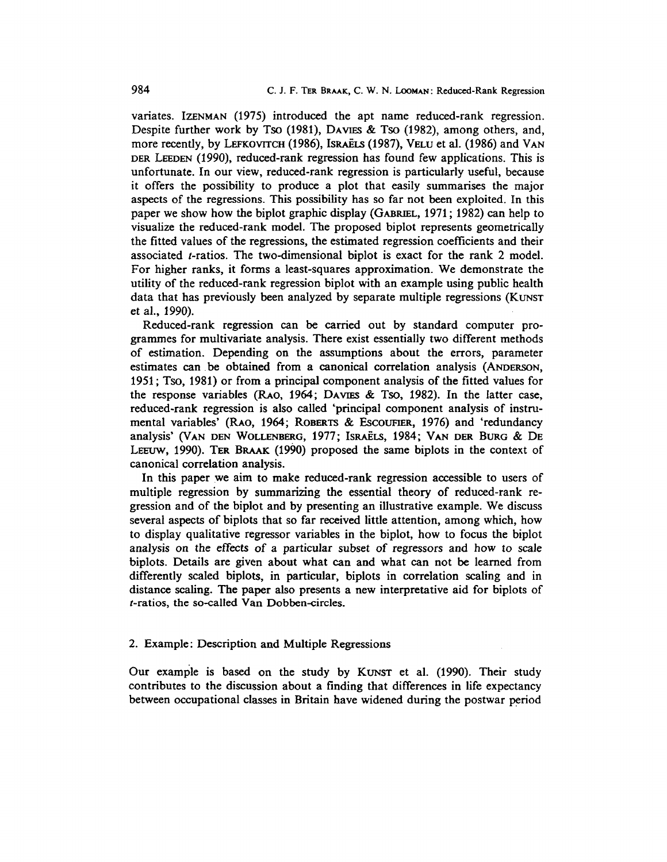variates. IZENMAN (1975) introduced the apt name reduced-rank regression. Despite further work by Tso (1981), DAVIES & Tso (1982), among others, and, more recently, by LEFKOVITCH (1986), ISRAELS (1987), VELU et al. (1986) and VAN DER LEEDEN (1990), reduced-rank regression has found few applications. This is unfortunate. In our view, reduced-rank regression is particularly useful, because it offers the possibility to produce a plot that easily summarises the major aspects of the regressions. This possibility has so far not been exploited. In this paper we show how the biplot graphic display (GABRIEL, 1971; 1982) can help to visualize the reduced-rank model. The proposed biplot represents geometrically the fitted values of the regressions, the estimated regression coefficients and their associated  $t$ -ratios. The two-dimensional biplot is exact for the rank 2 model. For higher ranks, it forms a least-squares approximation. We demonstrate the utility of the reduced-rank regression biplot with an example using public health data that has previously been analyzed by separate multiple regressions (KUNST et al., 1990).

Reduced-rank regression can be carried out by standard computer programmes for multivariate analysis. There exist essentially two different methods of estimation. Depending on the assumptions about the errors, parameter estimates can . be obtained from a canonical correlation analysis (ANDERSON, 1951; Tso, 1981) or from a principal component analysis of the fitted values for the response variables (RAo, 1964; DAVIES & Tso, 1982). In the latter case, reduced-rank regression is also called 'principal component analysis of instrumental variables' (RAo, 1964; RoBERTS & EscoUFIER, 1976) and 'redundancy analysis' (VAN DEN WOLLENBERG, 1977; ISRAELS, 1984; VAN DER BURG & DE LEEUW, 1990). TER BRAAK (1990) proposed the same biplots in the context of canonical correlation analysis.

In this paper we aim to make reduced-rank regression accessible to users of multiple regression by summarizing the essential theory of reduced-rank regression and of the biplot and by presenting an illustrative example. We discuss several aspects of biplots that so far received little attention, among which, how to display qualitative regressor variables in the biplot, how to focus the biplot analysis on the effects of a particular subset of regressors and how to scale biplots. Details are given about what can and what can not be learned from differently scaled biplots, in particular, biplots in correlation scaling and in distance scaling. The paper also presents a new interpretative aid for biplots of t-ratios, the so-called Van Dobben-circles.

## 2. Example: Description and Multiple Regressions

Our example is based on the study by KUNST et al. (1990). Their study contributes to the discussion about a finding that differences in life expectancy between occupational classes in Britain have widened during the postwar period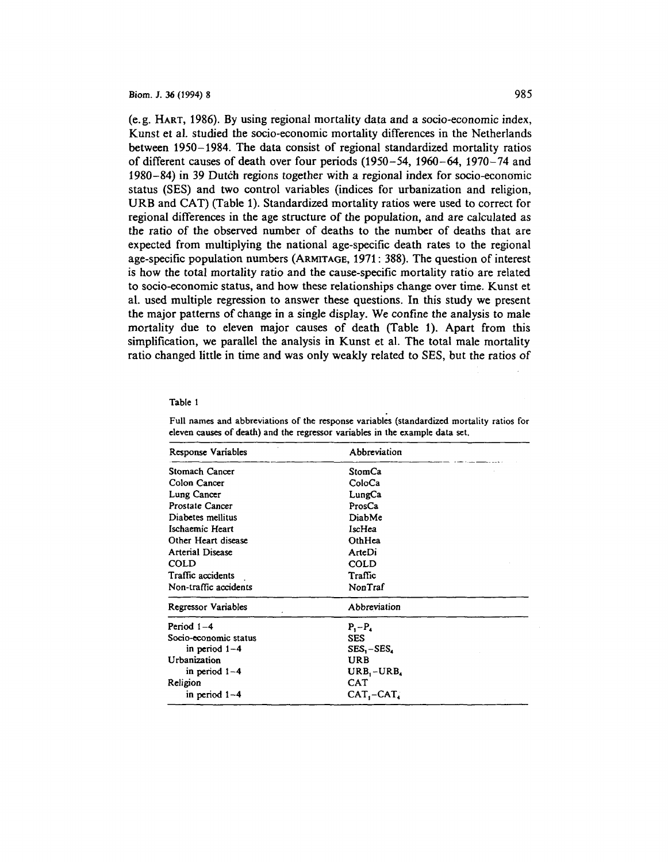(e.g. HART, 1986). By using regional mortality data and a socio-economic index, Kunst et al. studied the socio-economic mortality differences in the Netherlands between 1950-1984. The data consist of regional standardized mortality ratios of different causes of death over four periods (1950-54, 1960-64, 1970-74 and 1980-84) in 39 Dutch regions together with a regional index for socio-economic status (SES) and two control variables (indices for urbanization and religion, URB and CAT) (Table 1). Standardized mortality ratios were used to correct for regional differences in the age structure of the population, and are calculated as the ratio of the observed number of deaths to the number of deaths that are expected from multiplying the national age-specific death rates to the regional age-specific population numbers (ARMITAGE, 1971: 388). The question of interest is how the total mortality ratio and the cause-specific mortality ratio are related to socio-economic status, and how these relationships change over time. Kunst et al. used multiple regression to answer these questions. In this study we present the major patterns of change in a single display. We confine the analysis to male mortality due to eleven major causes of death (Table 1). Apart from this simplification, we parallel the analysis in Kunst et al. The total male mortality ratio changed little in time and was only weakly related to SES, but the ratios of

#### Table 1

| Response Variables      | Abbreviation    |  |  |
|-------------------------|-----------------|--|--|
| Stomach Cancer          | StomCa          |  |  |
| Colon Cancer            | ColoCa          |  |  |
| Lung Cancer             | LungCa          |  |  |
| Prostate Cancer         | ProsCa          |  |  |
| Diabetes mellitus       | DiabMe          |  |  |
| Ischaemic Heart         | IscHea          |  |  |
| Other Heart disease     | OthHea          |  |  |
| <b>Arterial Disease</b> | ArteDi          |  |  |
| COLD                    | COLD            |  |  |
| Traffic accidents       | Traffic         |  |  |
| Non-traffic accidents   | NonTraf         |  |  |
| Regressor Variables     | Abbreviation    |  |  |
| Period 1-4              | $P_1-P_4$       |  |  |
| Socio-economic status   | <b>SES</b>      |  |  |
| in period $1-4$         | $SES - SES$     |  |  |
| Urbanization            | <b>URB</b>      |  |  |
| in period $1-4$         | $URB_1 - URB_4$ |  |  |
| Religion                | <b>CAT</b>      |  |  |
| in period $1-4$         | $CAT - CAT$     |  |  |

Full names and abbreviations of the response variables (standardized mortality ratios for eleven causes of death) and the regressor variables in the example data set.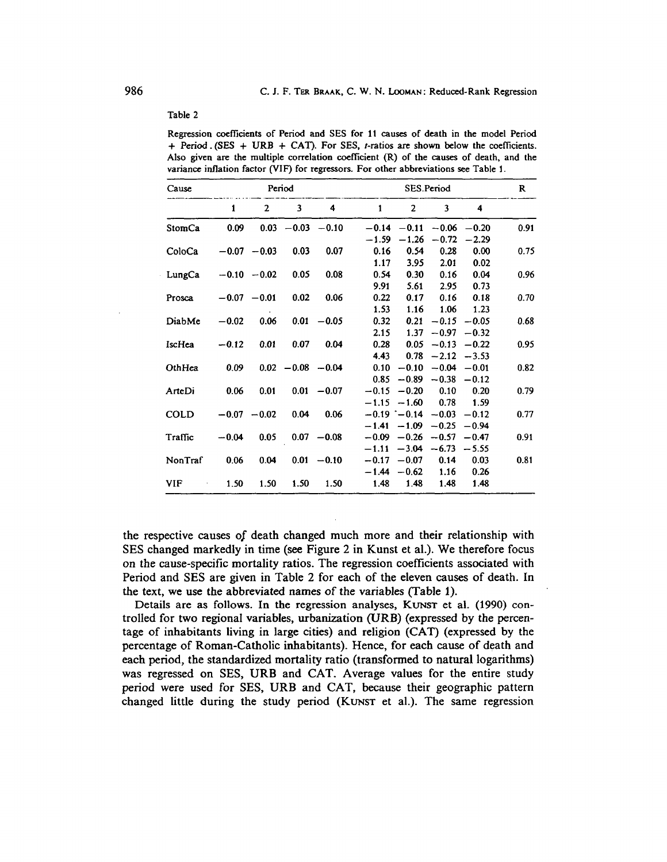| variance inflation factor (VIF) for regressors. For other abbreviations see Table 1. |         |                |                      |               |                    |                                              |                       |                           |      |
|--------------------------------------------------------------------------------------|---------|----------------|----------------------|---------------|--------------------|----------------------------------------------|-----------------------|---------------------------|------|
| Cause                                                                                | Period  |                |                      |               | SES.Period         |                                              |                       |                           |      |
|                                                                                      | 1       | $\overline{2}$ | 3                    | 4             | $\mathbf{1}$       | $\overline{2}$                               | 3                     | $\overline{\mathbf{4}}$   |      |
| StomCa                                                                               | 0.09    |                | $0.03 -0.03 -0.10$   |               | $-0.14$<br>$-1.59$ | $-0.11$<br>$-1.26$                           | $-0.72$               | $-0.06 - 0.20$<br>$-2.29$ | 0.91 |
| ColoCa                                                                               |         | $-0.07 - 0.03$ | 0.03                 | 0.07          | 0.16<br>1.17       | 0.54<br>3.95                                 | 0.28<br>2.01          | 0.00<br>0.02              | 0.75 |
| LungCa                                                                               |         | $-0.10 - 0.02$ | 0.05                 | 0.08          | 0.54<br>9.91       | 0.30<br>5.61                                 | 0.16<br>2.95          | 0.04<br>0.73              | 0.96 |
| Prosca                                                                               |         | $-0.07 - 0.01$ | 0.02                 | 0.06          | 0.22<br>1.53       | 0.17<br>1.16                                 | 0.16<br>1.06          | 0.18<br>1.23              | 0.70 |
| DiabMe                                                                               | $-0.02$ | 0.06           |                      | $0.01 - 0.05$ | 0.32<br>2.15       | 0.21<br>1.37 <sub>1</sub>                    | $-0.15$<br>$-0.97$    | $-0.05$<br>$-0.32$        | 0.68 |
| IscHea                                                                               | $-0.12$ | 0.01           | 0.07                 | 0.04          | 0.28<br>4.43       | 0.05<br>0.78                                 | $-2.12$               | $-0.13 - 0.22$<br>$-3.53$ | 0.95 |
| OthHea                                                                               | 0.09    |                | $0.02 - 0.08 - 0.04$ |               | 0.10<br>0.85       | $-0.10$                                      | $-0.89 - 0.38 - 0.12$ | $-0.04 - 0.01$            | 0.82 |
| ArteDi                                                                               | 0.06    | 0.01           |                      | $0.01 - 0.07$ | $-0.15$            | $-0.20$<br>$-1.15 - 1.60$ 0.78               | 0.10                  | 0.20<br>1.59              | 0.79 |
| <b>COLD</b>                                                                          |         | $-0.07 - 0.02$ | 0.04                 | 0.06          | $-1.41$            | $-0.19$ $-0.14$ $-0.03$<br>$-1.09$           | $-0.25$               | $-0.12$<br>$-0.94$        | 0.77 |
| Traffic                                                                              | $-0.04$ | 0.05           |                      | $0.07 - 0.08$ |                    | $-0.09 -0.26 -0.57$<br>$-1.11 - 3.04 - 6.73$ |                       | $-0.47$<br>$-5.55$        | 0.91 |
| NonTraf                                                                              | 0.06    | 0.04           | 0.01                 | $-0.10$       |                    | $-0.17 - 0.07$<br>$-1.44 - 0.62$             | 0.14<br>1.16          | 0.03<br>0.26              | 0.81 |
| <b>VIF</b>                                                                           | 1.50    | 1.50           | 1.50                 | 1.50          | 1.48               | 1.48                                         | 1.48                  | 1.48                      |      |

Regression coefficients of Period and SES for 11 causes of death in the model Period  $+$  Period . (SES + URB + CAT). For SES, *t*-ratios are shown below the coefficients. Also given are the multiple correlation coefficient {R) of the causes of death, and the

the respective causes *of* death changed much more and their relationship with SES changed markedly in time (see Figure 2 in Kunst et al.). We therefore focus on the cause-specific mortality ratios. The regression coefficients associated with Period and SES are given in Table 2 for each of the eleven causes of death. In the text, we use the abbreviated names of the variables (Table 1).

Details are as follows. In the regression analyses, KUNST et al. (1990) controlled for two regional variables, urbanization (URB) (expressed by the percentage of inhabitants living in large cities) and religion (CAT) (expressed by the percentage of Roman-Catholic inhabitants). Hence, for each cause of death and each period, the standardized mortality ratio (transformed to natural logarithms) was regressed on SES, URB and CAT. Average values for the entire study period were used for SES, URB and CAT, because their geographic pattern changed little during the study period (KUNsT et al.). The same regression

Table 2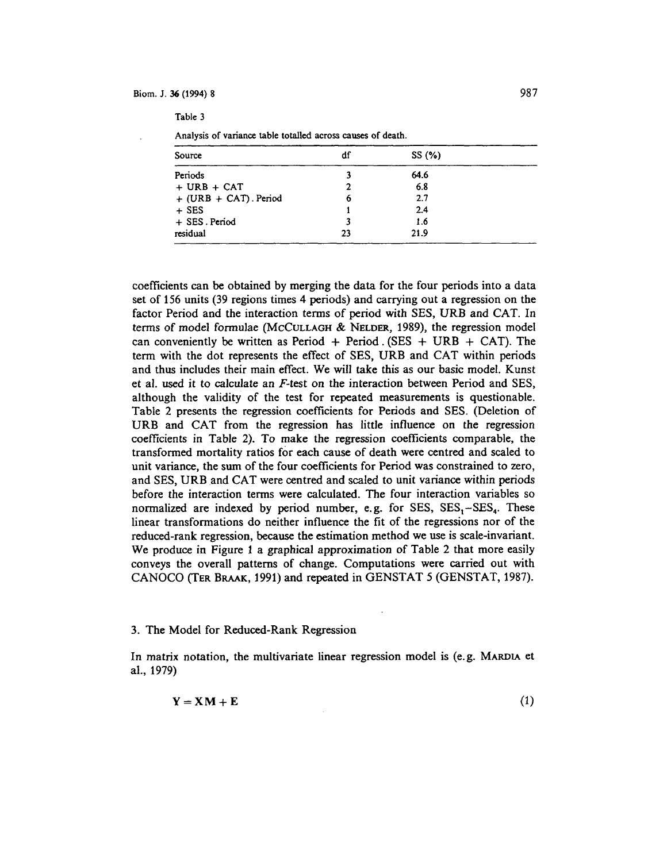Table 3

| Analysis of variance table totalled across causes of death. |  |  |
|-------------------------------------------------------------|--|--|
|-------------------------------------------------------------|--|--|

| Source                    | df | SS(%) |  |
|---------------------------|----|-------|--|
| Periods                   |    | 64.6  |  |
| $+$ URB $+$ CAT           |    | 6.8   |  |
| $+$ (URB $+$ CAT). Period | o  | 2.7   |  |
| $+$ SES                   |    | 2.4   |  |
| + SES. Period             |    | 1.6   |  |
| residual                  | 23 | 21.9  |  |

coefficients can be obtained by merging the data for the four periods into a data set of 156 units (39 regions times 4 periods) and carrying out a regression on the factor Period and the interaction terms of period with SES, URB and CAT. In terms of model formulae (McCULLAGH & NELDER, 1989), the regression model can conveniently be written as Period + Period . (SES + URB + CAT). The term with the dot represents the effect of SES, URB and CAT within periods and thus includes their main effect. We will take this as our basic model. Kunst et al. used it to calculate an *F-test* on the interaction between Period and SES, although the validity of the test for repeated measurements is questionable. Table 2 presents the regression coefficients for Periods and SES. (Deletion of URB and CAT from the regression has little influence on the regression coefficients in Table 2). To make the regression coefficients comparable, the transformed mortality ratios for each cause of death were centred and scaled to unit variance, the sum of the four coefficients for Period was constrained to zero, and SES, URB and CAT were centred and scaled to unit variance within periods before the interaction terms were calculated. The four interaction variables so normalized are indexed by period number, e.g. for SES,  $SES_1 - SES_4$ . These linear transformations do neither influence the fit of the regressions nor of the reduced-rank regression, because the estimation method we use is scale-invariant. We produce in Figure 1 a graphical approximation of Table 2 that more easily conveys the overall patterns of change. Computations were carried out with CANOCO (TER BRAAK, 1991) and repeated in GENSTAT *5* (GENSTAT, 1987).

#### 3. The Model for Reduced-Rank Regression

In matrix notation, the multivariate linear regression model is (e.g. MARDIA et al., 1979)

$$
Y = X M + E \tag{1}
$$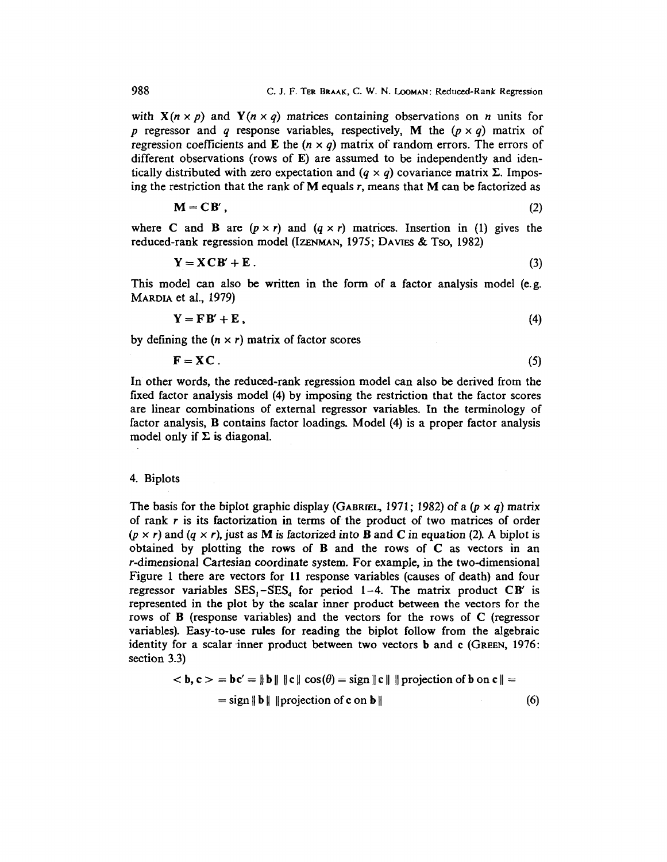with  $X(n \times p)$  and  $Y(n \times q)$  matrices containing observations on *n* units for *p* regressor and *q* response variables, respectively, **M** the  $(p \times q)$  matrix of regression coefficients and **E** the  $(n \times q)$  matrix of random errors. The errors of different observations (rows of  $E$ ) are assumed to be independently and identically distributed with zero expectation and  $(q \times q)$  covariance matrix  $\Sigma$ . Imposing the restriction that the rank of M equals *r,* means that M can be factorized as

$$
\mathbf{M} = \mathbf{C}\mathbf{B}'\,,\tag{2}
$$

where C and B are  $(p \times r)$  and  $(q \times r)$  matrices. Insertion in (1) gives the reduced-rank regression model (IZENMAN, 1975; DAVIES & Tso, 1982)

$$
Y = XCB' + E. \tag{3}
$$

This model can also be written in the form of a factor analysis model (e. g. MARDIA et al., 1979)

$$
Y = FB' + E, \tag{4}
$$

by defining the  $(n \times r)$  matrix of factor scores

$$
\mathbf{F} = \mathbf{X}\mathbf{C} \tag{5}
$$

In other words, the reduced-rank regression model can also be derived from the fixed factor analysis model (4) by imposing the restriction that the factor scores are linear combinations of external regressor variables. In the terminology of factor analysis, B contains factor loadings. Model (4) is a proper factor analysis model only if  $\Sigma$  is diagonal.

### 4. Biplots

The basis for the biplot graphic display (GABRIEL, 1971; 1982) of a  $(p \times q)$  matrix of rank  $r$  is its factorization in terms of the product of two matrices of order  $(p \times r)$  and  $(q \times r)$ , just as M is factorized into B and C in equation (2). A biplot is obtained by plotting the rows of  $B$  and the rows of  $C$  as vectors in an r-dimensional Cartesian coordinate system. For example, in the two-dimensional Figure 1 there are vectors for 11 response variables (causes of death) and four regressor variables  $SES_1-SES_4$  for period 1-4. The matrix product CB' is represented in the plot by the scalar inner product between the vectors for the rows of B (response variables) and the vectors for the rows of C (regressor variables). Easy-to-use rules for reading the biplot follow from the algebraic identity for a scalar inner product between two vectors **b** and **c** (GREEN, 1976: section 3.3)

$$
\langle \mathbf{b}, \mathbf{c} \rangle = \mathbf{b} \mathbf{c}' = \|\mathbf{b}\| \|\mathbf{c}\| \cos(\theta) = \text{sign}\|\mathbf{c}\| \|\text{projection of } \mathbf{b} \text{ on } \mathbf{c}\| =
$$
  
= sign  $\|\mathbf{b}\| \|\text{projection of } \mathbf{c} \text{ on } \mathbf{b}\|$  (6)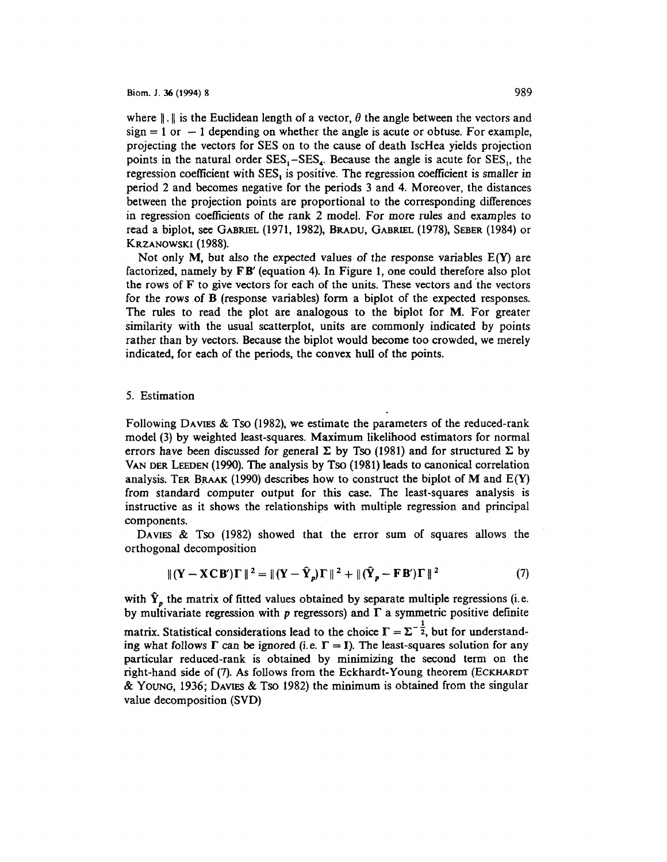where  $\|\cdot\|$  is the Euclidean length of a vector,  $\theta$  the angle between the vectors and  $sign = 1$  or  $- 1$  depending on whether the angle is acute or obtuse. For example, projecting the vectors for SES on to the cause of death IscHea yields projection points in the natural order  $SES_1-SES_4$ . Because the angle is acute for  $SES_1$ , the regression coefficient with  $SES<sub>1</sub>$  is positive. The regression coefficient is smaller in period 2 and becomes negative for the periods 3 and 4. Moreover, the distances between the projection points are proportional to the corresponding differences in regression coefficients of the rank 2 model. For more rules and examples to read a biplot, see GABRIEL (1971, 1982), BRADU, GABRIEL (1978), SEBER (1984) or KRZANOWSKI (1988).

Not only  $M$ , but also the expected values of the response variables  $E(Y)$  are factorized, namely by FB' (equation 4). In Figure 1, one could therefore also plot the rows of  $F$  to give vectors for each of the units. These vectors and the vectors for the rows of B (response variables) form a biplot of the expected responses. The rules to read the plot are analogous to the biplot for M. For greater similarity with the usual scatterplot, units are commonly indicated by points rather than by vectors. Because the biplot would become too crowded, we merely indicated, for each of the periods, the convex hull of the points.

## 5. Estimation

Following DAVIES & Tso (1982), we estimate the parameters of the reduced-rank model (3) by weighted least-squares. Maximum likelihood estimators for normal errors have been discussed for general  $\Sigma$  by Tso (1981) and for structured  $\Sigma$  by VANDER LEEDEN (1990). The analysis by Tso (1981) leads to canonical correlation analysis. TER BRAAK (1990) describes how to construct the biplot of M and  $E(Y)$ from standard computer output for this case. The least-squares analysis is instructive as it shows the relationships with multiple regression and principal components.

DAVIES & Tso (1982) showed that the error sum of squares allows the orthogonal decomposition

$$
\|(\mathbf{Y} - \mathbf{X} \mathbf{C} \mathbf{B}')\mathbf{\Gamma}\|^2 = \|(\mathbf{Y} - \hat{\mathbf{Y}}_p)\mathbf{\Gamma}\|^2 + \|(\hat{\mathbf{Y}}_p - \mathbf{F} \mathbf{B}')\mathbf{\Gamma}\|^2 \tag{7}
$$

with  $\hat{Y}_p$  the matrix of fitted values obtained by separate multiple regressions (i.e. by multivariate regression with  $p$  regressors) and  $\Gamma$  a symmetric positive definite matrix. Statistical considerations lead to the choice  $\Gamma = \Sigma^{-\frac{1}{2}}$ , but for understanding what follows  $\Gamma$  can be ignored (i.e.  $\Gamma = I$ ). The least-squares solution for any particular reduced-rank is obtained by minimizing the second term on the right-hand side of (7). As follows from the Eckhardt-Young theorem (ECKHARDT & YoUNG, 1936; DAVIES & Tso 1982) the minimum is obtained from the singular value decomposition (SVD)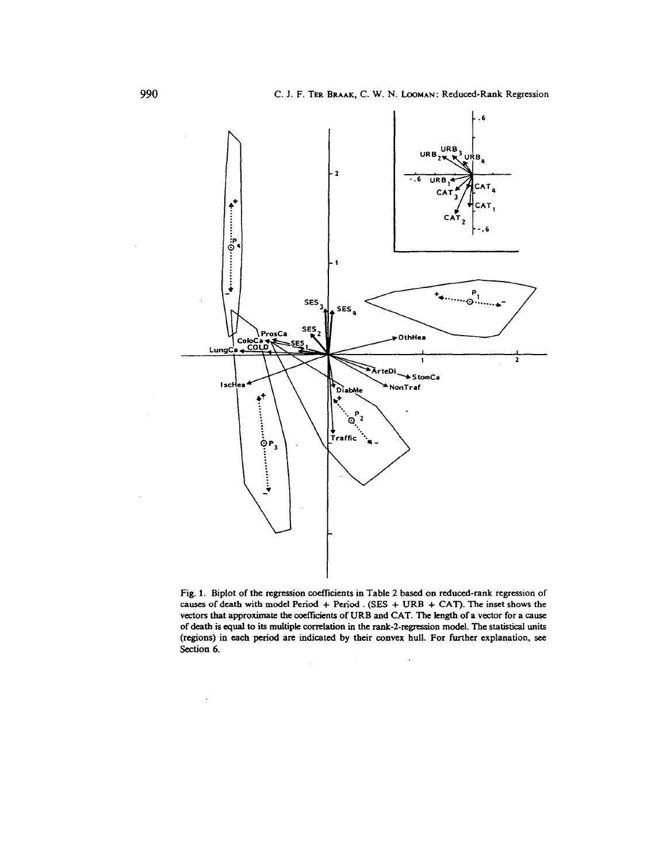

Fig. 1. Biplot of the regression coefficients in Table 2 based on reduced-rank regression of causes of death with model Period + Period . (SES + URB + CAT). The inset shows the vectors that approximate the coefficients of URB and CAT. The length of a vector for a cause of death is equal to its multiple correlation in the rank-2-regression model. The statistical units (regions) in each period are indicated by their convex hull. For further explanation, see Section 6.

 $\ddot{\cdot}$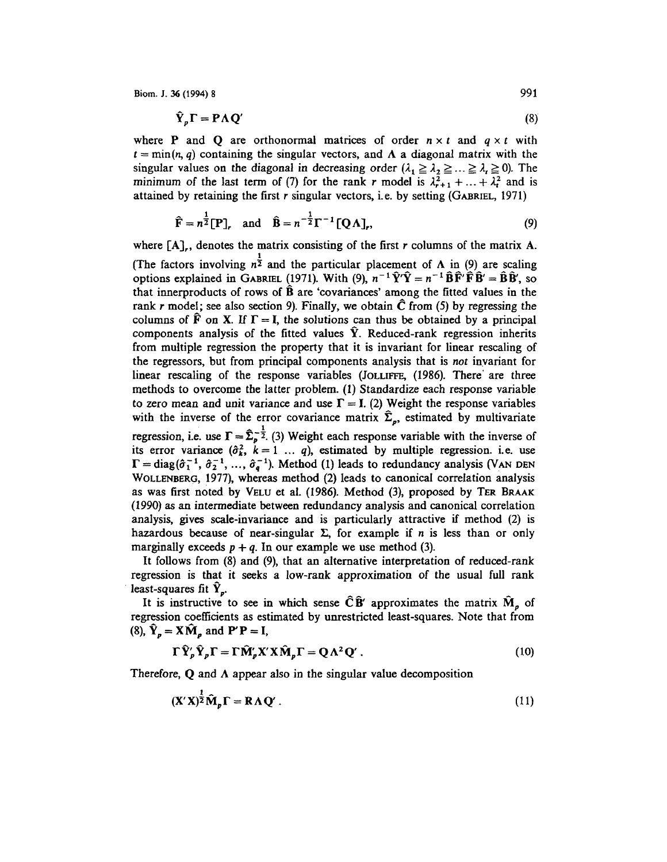$$
\hat{\mathbf{Y}}_{p}\mathbf{\Gamma} = \mathbf{P}\Lambda \mathbf{Q}' \tag{8}
$$

where **P** and **Q** are orthonormal matrices of order  $n \times t$  and  $q \times t$  with  $t = min(n, q)$  containing the singular vectors, and  $\Lambda$  a diagonal matrix with the singular values on the diagonal in decreasing order  $(\lambda_1 \geq \lambda_2 \geq ... \geq \lambda_r \geq 0)$ . The minimum of the last term of (7) for the rank r model is  $\lambda_{r+1}^2 + ... + \lambda_t^2$  and is attained by retaining the first r singular vectors, i.e. by setting  $(GABRIEL, 1971)$ 

$$
\hat{\mathbf{F}} = n^{\frac{1}{2}}[\mathbf{P}], \text{ and } \hat{\mathbf{B}} = n^{-\frac{1}{2}}\Gamma^{-1}[\mathbf{Q}\Lambda], \qquad (9)
$$

where [A],, denotes the matrix consisting of the first *r* columns of the matrix A.

(The factors involving  $n^{\frac{1}{2}}$  and the particular placement of  $\Lambda$  in (9) are scaling options explained in GABRIEL (1971). With (9),  $n^{-1}\hat{Y}'\hat{Y}=n^{-1}\hat{B}\hat{F}'\hat{F}\hat{B}'=\hat{B}\hat{B}'$ , so that innerproducts of rows of  $\hat{B}$  are 'covariances' among the fitted values in the rank r model; see also section 9). Finally, we obtain  $\hat{C}$  from (5) by regressing the columns of  $\mathbf{\vec{F}}$  on X. If  $\mathbf{\Gamma} = \mathbf{I}$ , the solutions can thus be obtained by a principal components analysis of the fitted values  $\hat{Y}$ . Reduced-rank regression inherits from multiple regression the property that it is invariant for linear rescaling of the regressors, but from principal components analysis that is *not* invariant for linear rescaling of the response variables (JOLLIFFE, (1986). There' are three methods to overcome the latter problem. (1) Standardize each response variable to zero mean and unit variance and use  $\Gamma = I$ . (2) Weight the response variables with the inverse of the error covariance matrix  $\hat{\Sigma}_p$ , estimated by multivariate regression, i.e. use  $\Gamma = \hat{\Sigma}_{p}^{-\frac{1}{2}}$ . (3) Weight each response variable with the inverse of its error variance  $(\hat{\sigma}_k^2, k = 1 \dots q)$ , estimated by multiple regression. i.e. use  $\Gamma = \text{diag}(\hat{\sigma}_1^{-1}, \hat{\sigma}_2^{-1}, \dots, \hat{\sigma}_q^{-1})$ . Method (1) leads to redundancy analysis (VAN DEN WOLLENBERG, 1977), whereas method (2) leads to canonical correlation analysis as was first noted by VELU et al. (1986). Method (3), proposed by TER BRAAK (1990) as an intermediate between redundancy analysis and canonical correlation analysis, gives scale-invariance and is particularly attractive if method (2) is hazardous because of near-singular  $\Sigma$ , for example if *n* is less than or only marginally exceeds  $p + q$ . In our example we use method (3).

It follows from (8) and (9), that an alternative interpretation of reduced-rank regression is that it seeks a low-rank approximation of the usual full rank least-squares fit  $\hat{Y}_p$ .

It is instructive to see in which sense  $\hat{C}\hat{B}'$  approximates the matrix  $\hat{M}_{p}$  of regression coefficients as estimated by unrestricted least-squares. Note that from (8),  $\hat{\mathbf{Y}}_p = \mathbf{X}\hat{\mathbf{M}}_p$  and  $\mathbf{P}'\mathbf{P} = \mathbf{I}$ ,

$$
\Gamma \hat{\mathbf{Y}}_{p}' \hat{\mathbf{Y}}_{p} \Gamma = \Gamma \hat{\mathbf{M}}_{p}' \mathbf{X}' \mathbf{X} \hat{\mathbf{M}}_{p} \Gamma = \mathbf{Q} \Lambda^{2} \mathbf{Q}' . \qquad (10)
$$

Therefore,  $Q$  and  $\Lambda$  appear also in the singular value decomposition

$$
(\mathbf{X}'\mathbf{X})^{\frac{1}{2}}\mathbf{\hat{M}}_{p}\mathbf{\Gamma} = \mathbf{R}\Lambda\mathbf{Q}'\,. \tag{11}
$$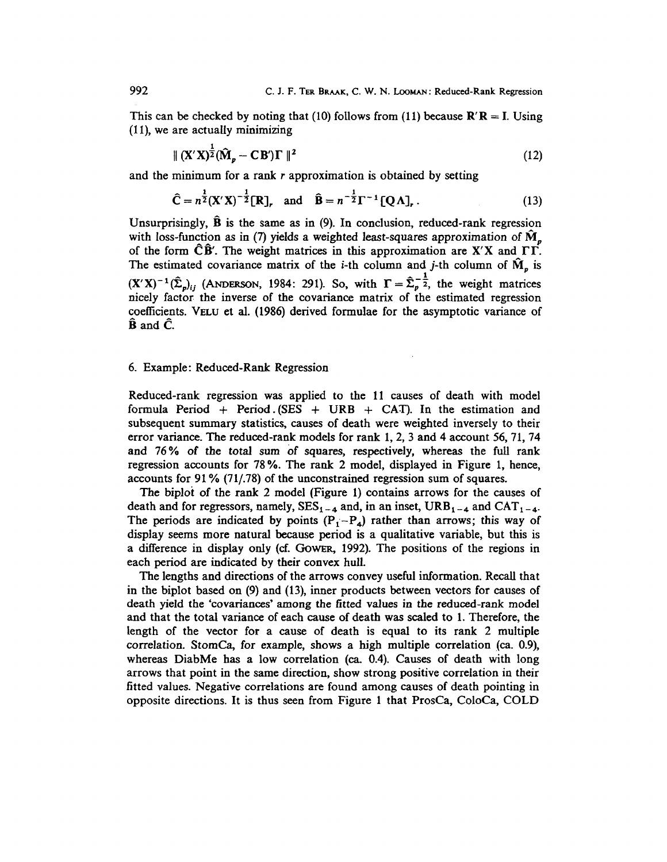This can be checked by noting that (10) follows from (11) because  $\mathbf{R}'\mathbf{R} = I$ . Using (11), we are actually minimizing

$$
\| \left( \mathbf{X}' \mathbf{X} \right)^{\frac{1}{2}} \left( \hat{\mathbf{M}}_p - \mathbf{C} \mathbf{B}' \right) \Gamma \|^2 \tag{12}
$$

and the minimum for a rank *r* approximation is obtained by setting

$$
\hat{C} = n^{\frac{1}{2}} (X'X)^{-\frac{1}{2}} [R], \text{ and } \hat{B} = n^{-\frac{1}{2}} \Gamma^{-1} [Q \Lambda],
$$
 (13)

Unsurprisingly,  $\hat{B}$  is the same as in (9). In conclusion, reduced-rank regression with loss-function as in (7) yields a weighted least-squares approximation of  $\hat{M}_{n}$ of the form  $\hat{C}\hat{B}'$ . The weight matrices in this approximation are X'X and  $\Gamma\Gamma$ . The estimated covariance matrix of the *i*-th column and *j*-th column of  $\hat{M}_n$  is  $(X'X)^{-1}(\hat{\Sigma}_{p})_{ii}$  (ANDERSON, 1984: 291). So, with  $\Gamma = \hat{\Sigma}_{p}^{-\frac{1}{2}}$ , the weight matrices nicely factor the inverse of the covariance matrix of the estimated regression coefficients. YELU et al. (1986) derived formulae for the asymptotic variance of  $\ddot{\mathbf{B}}$  and  $\ddot{\mathbf{C}}$ .

### 6. Example: Reduced-Rank Regression

Reduced-rank regression was applied to the 11 causes of death with model formula Period + Period  $(SES + URB + CAT)$ . In the estimation and subsequent summary statistics, causes of death were weighted inversely to their error variance. The reduced-rank models for rank 1, 2, 3 and 4 account 56, 71, 74 and 76% of the total sum of squares, respectively, whereas the full rank regression accounts for 78 %. The rank 2 model, displayed in Figure 1, hence, accounts for 91% (71/.78) of the unconstrained regression sum of squares.

The biploi of the rank 2 model (Figure 1) contains arrows for the causes of death and for regressors, namely,  $SES_{1-4}$  and, in an inset,  $URB_{1-4}$  and  $CAT_{1-4}$ . The periods are indicated by points  $(P_1-P_4)$  rather than arrows; this way of display seems more natural because period is a qualitative variable, but this is a difference in display only (cf. GoWER, 1992). The positions of the regions in each period are indicated by their convex hull.

The lengths and directions of the arrows convey useful information. Recall that in the biplot based on (9) and (13), inner products between vectors for causes of death yield the 'covariances' among the fitted values in the reduced-rank model and that the total variance of each cause of death was scaled to 1. Therefore, the length of the vector for a cause of death is equal to its rank 2 multiple correlation. StomCa, for example, shows a high multiple correlation (ca. 0.9), whereas DiabMe has a low correlation (ca. 0.4). Causes of death with long arrows that point in the same direction, show strong positive correlation in their fitted values. Negative correlations are found among causes of death pointing in opposite directions. It is thus seen from Figure 1 that ProsCa, ColoCa, COLD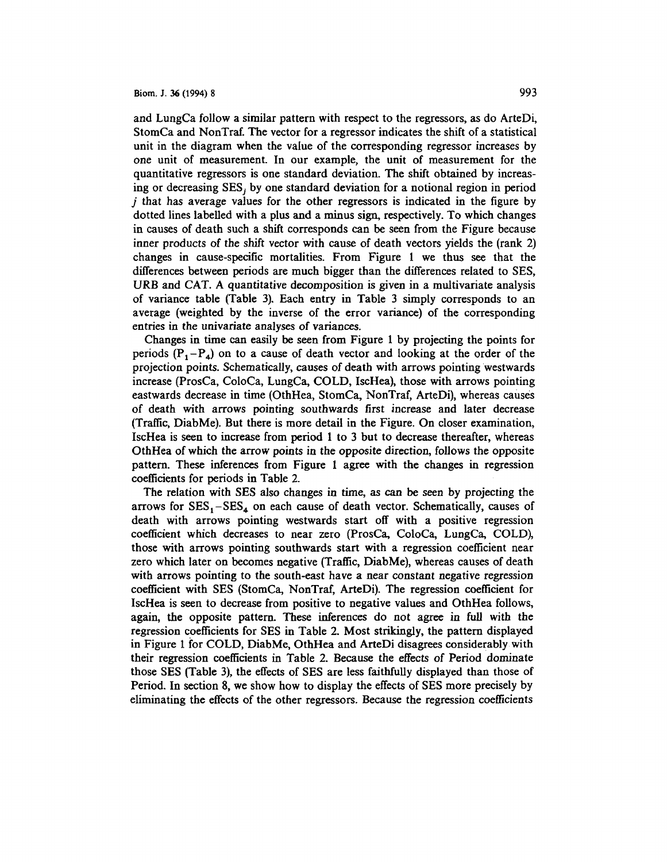and LungCa follow a similar pattern with respect to the regressors, as do ArteDi, StomCa and NonTraf. The vector for a regressor indicates the shift of a statistical unit in the diagram when the value of the corresponding regressor increases by one unit of measurement. In our example, the unit of measurement for the quantitative regressors is one standard deviation. The shift obtained by increasing or decreasing SES, by one standard deviation for a notional region in period j that has average values for the other regressors is indicated in the figure by dotted lines labelled with a plus and a minus sign. respectively. To which changes in causes of death such a shift corresponds can be seen from the Figure because inner products of the shift vector with cause of death vectors yields the (rank 2) changes in cause-specific mortalities. From Figure 1 we thus see that the differences between periods are much bigger than the differences related to SES, URB and CAT. A quantitative decomposition is given in a multivariate analysis of variance table (Table 3). Each entry in Table 3 simply corresponds to an average (weighted by the inverse of the error variance) of the corresponding entries in the univariate analyses of variances.

Changes in time can easily be seen from Figure 1 by projecting the points for periods  $(P_1 - P_4)$  on to a cause of death vector and looking at the order of the projection points. Schematically, causes of death with arrows pointing westwards increase (ProsCa, ColoCa, LungCa, COLD, lscHea), those with arrows pointing eastwards decrease in time (OthHea, StomCa, NonTraf, ArteDi), whereas causes of death with arrows pointing southwards first increase and later decrease (Traffic, DiabMe). But there is more detail in the Figure. On closer examination, IscHea is seen to increase from period 1 to 3 but to decrease thereafter, whereas OthHea of which the arrow points in the opposite direction, follows the opposite pattern. These inferences from Figure 1 agree with the changes in regression coefficients for periods in Table 2.

The relation with SES also changes in time, as can be seen by projecting the arrows for  $SES_1 - SES_4$  on each cause of death vector. Schematically, causes of death with arrows pointing westwards start off with a positive regression coefficient which decreases to near zero (ProsCa, ColoCa, LungCa, COLD), those with arrows pointing southwards start with a regression coefficient near zero which later on becomes negative (Traffic, DiabMe), whereas causes of death with arrows pointing to the south-east have a near constant negative regression coefficient with SES (StomCa, NonTraf, ArteDi). The regression coefficient for IscHea is seen to decrease from positive to negative values and OthHea follows, again, the opposite pattern. These inferences do not agree in full with the regression coefficients for SES in Table 2. Most strikingly, the pattern displayed in Figure 1 for COLD, DiabMe, OthHea and ArteDi disagrees considerably with their regression coefficients in Table 2. Because the effects of Period dominate those SES (Table 3), the effects of SES are less faithfully displayed than those of Period. In section 8, we show how to display the effects of SES more precisely by eliminating the effects of the other regressors. Because the regression coefficients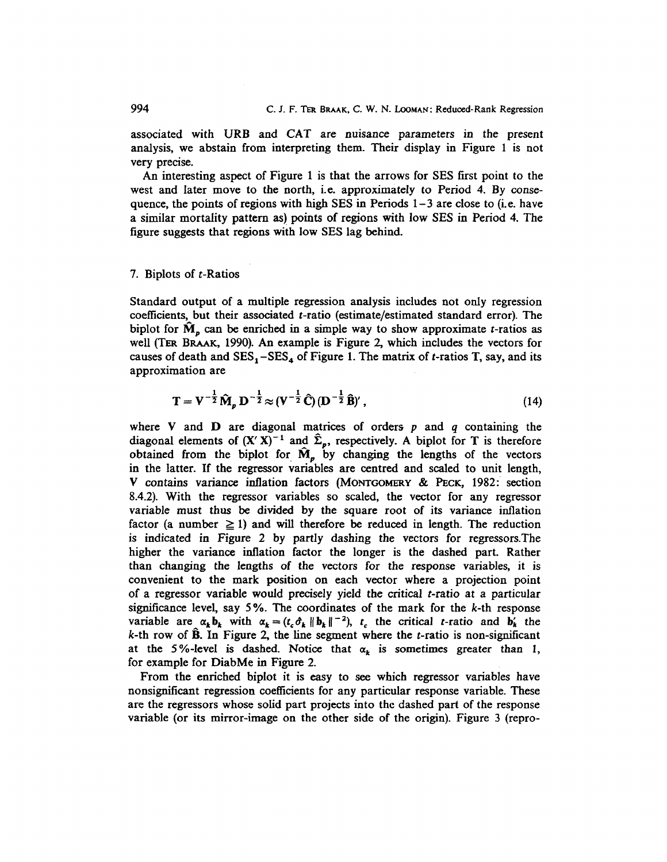associated with URB and CAT are nuisance parameters in the present analysis, we abstain from interpreting them. Their display in Figure 1 is not very precise.

An interesting aspect of Figure 1 is that the arrows for SES first point to the west and later move to the north, i.e. approximately to Period 4. By consequence, the points of regions with high SES in Periods  $1-3$  are close to (i.e. have a similar mortality pattern as) points of regions with low SES in Period 4. The figure suggests that regions with low SES lag behind.

## 7. Biplots of  $t$ -Ratios

Standard output of a multiple regression analysis includes not only regression coefficients, but their associated t-ratio (estimate/estimated standard error). The biplot for  $\tilde{M}_p$  can be enriched in a simple way to show approximate *t*-ratios as well (TER BRAAK, 1990). An example is Figure 2, which includes the vectors for causes of death and  $SES_1 - SES_4$  of Figure 1. The matrix of *t*-ratios T, say, and its approximation are

$$
T = V^{-\frac{1}{2}} \hat{M}_p D^{-\frac{1}{2}} \approx (V^{-\frac{1}{2}} \hat{C}) (D^{-\frac{1}{2}} \hat{B})', \qquad (14)
$$

where V and D are diagonal matrices of orders  $p$  and  $q$  containing the diagonal elements of  $(X' X)^{-1}$  and  $\hat{\Sigma}_p$ , respectively. A biplot for T is therefore obtained from the biplot for  $\hat{M}_{p}$  by changing the lengths of the vectors in the latter. If the regressor variables are centred and scaled to unit length, V contains variance inflation factors (MONTGOMERY & PEcK, 1982: section 8.4.2). With the regressor variables so scaled, the vector for any regressor variable must thus be divided by the square root of its variance inflation factor (a number  $\geq$  1) and will therefore be reduced in length. The reduction is indicated in Figure 2 by partly dashing the vectors for regressors.The higher the variance inflation factor the longer is the dashed part. Rather than changing the lengths of the vectors for the response variables, it is convenient to the mark position on each vector where a projection point of a regressor variable would precisely yield the critical t-ratio at a particular significance level, say *5* %. The coordinates of the mark for the *k-th* response variable are  $\alpha_k b_k$  with  $\alpha_k = (t_c \hat{\sigma}_k || b_k ||^{-2})$ ,  $t_c$  the critical t-ratio and  $b'_k$  the  $k$ -th row of  $\hat{B}$ . In Figure 2, the line segment where the *t*-ratio is non-significant at the 5%-level is dashed. Notice that  $\alpha_k$  is sometimes greater than 1, for example for DiabMe in Figure 2.

From the enriched biplot it is easy to see which regressor variables have nonsignificant regression coefficients for any particular response variable. These are the regressors whose solid part projects into the dashed part of the response variable (or its mirror-image on the other side of the origin). Figure 3 (repro-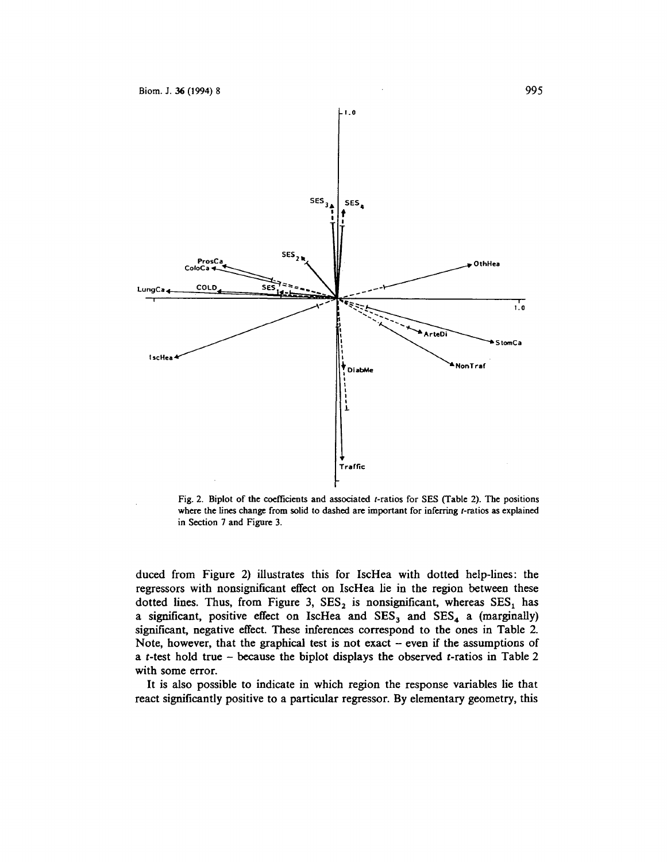

Fig. 2. Biplot of the coefficients and associated t-ratios for SES (Table 2). The positions where the lines change from solid to dashed are important for inferring t-ratios as explained in Section 7 and Figure 3.

duced from Figure 2) illustrates this for IscHea with dotted help-lines: the regressors with nonsignificant effect on lscHea lie in the region between these dotted lines. Thus, from Figure 3,  $SES_2$  is nonsignificant, whereas  $SES_1$  has a significant, positive effect on IscHea and  $SES_3$  and  $SES_4$  a (marginally) significant, negative effect. These inferences correspond to the ones in Table 2. Note, however, that the graphical test is not exact  $-$  even if the assumptions of a *t-test* hold true - because the biplot displays the observed t-ratios in Table 2 with some error.

It is also possible to indicate in which region the response variables lie that react significantly positive to a particular regressor. By elementary geometry, this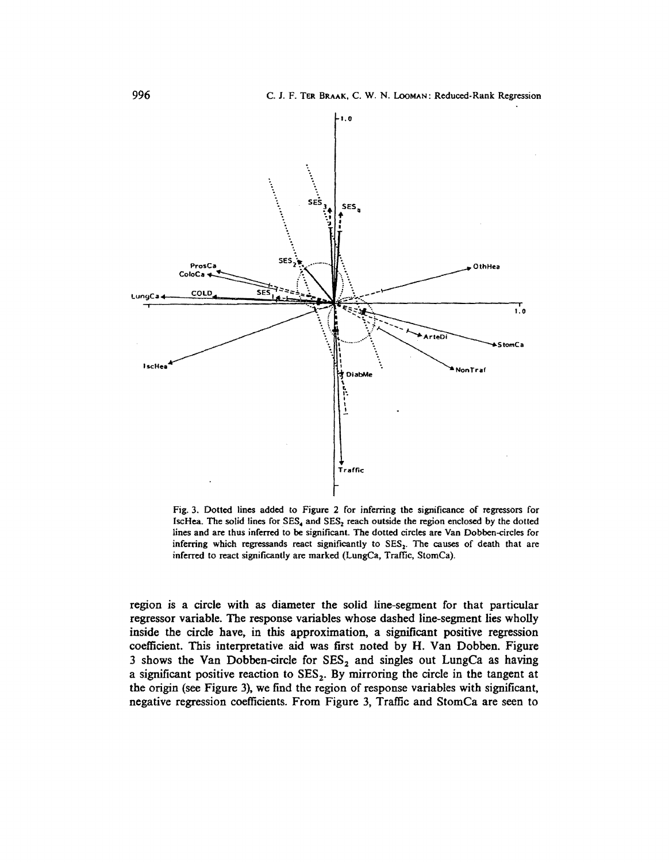

Fig. 3. Dotted lines added to Figure *2* for inferring the significance of regressors for IscHea. The solid lines for  $SES_4$  and  $SES_2$  reach outside the region enclosed by the dotted lines and are thus inferred to be significant. The dotted circles are Van Dobben-circles for inferring which regressands react significantly to SES<sub>2</sub>. The causes of death that are inferred to react significantly are marked (LungCa, Traffic, StomCa).

region is a circle with as diameter the solid line-segment for that particular regressor variable. The response variables whose dashed line-segment lies wholly inside the circle have, in this approximation, a significant positive regression coefficient. This interpretative aid was first noted by H. Van Dobben. Figure 3 shows the Van Dobben-circle for  $SES_2$  and singles out LungCa as having a significant positive reaction to  $SES<sub>2</sub>$ . By mirroring the circle in the tangent at the origin (see Figure 3), we find the region of response variables with significant, negative regression coefficients. From Figure 3, Traffic and StomCa are seen to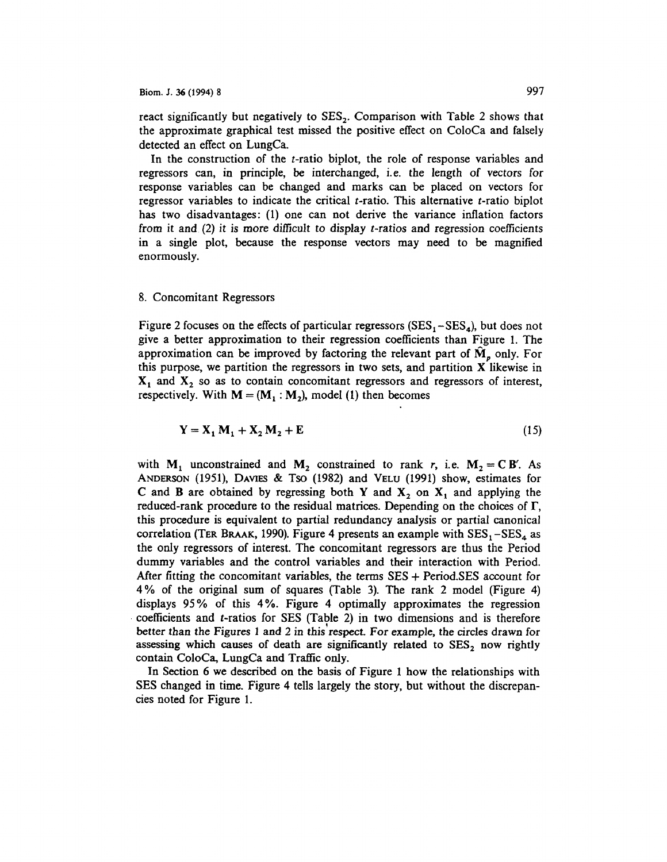react significantly but negatively to  $SES<sub>2</sub>$ . Comparison with Table 2 shows that the approximate graphical test missed the positive effect on ColoCa and falsely detected an effect on LungCa.

In the construction of the  $t$ -ratio biplot, the role of response variables and regressors can, in principle, be interchanged, i.e. the length of vectors for response variables can be changed and marks can be placed on vectors for regressor variables to indicate the critical t-ratio. This alternative t-ratio biplot has two disadvantages: (1) one can not derive the variance inflation factors from it and (2) it is more difficult to display t-ratios and regression coefficients in a single plot, because the response vectors may need to be magnified enormously.

#### 8. Concomitant Regressors

Figure 2 focuses on the effects of particular regressors  $(SES_1 - SES_4)$ , but does not give a better approximation to their regression coefficients than Figure 1. The approximation can be improved by factoring the relevant part of  $\dot{M}$ , only. For this purpose, we partition the regressors in two sets, and partition X likewise in  $X_1$  and  $X_2$  so as to contain concomitant regressors and regressors of interest, respectively. With  $M = (M_1 : M_2)$ , model (1) then becomes

$$
\mathbf{Y} = \mathbf{X}_1 \mathbf{M}_1 + \mathbf{X}_2 \mathbf{M}_2 + \mathbf{E} \tag{15}
$$

with  $M_1$  unconstrained and  $M_2$  constrained to rank *r*, i.e.  $M_2 = C B'$ . As ANDERSON (1951), DAVIES & Tso (1982) and VELU (1991) show, estimates for C and B are obtained by regressing both Y and  $X_2$  on  $X_1$  and applying the reduced-rank procedure to the residual matrices. Depending on the choices of  $\Gamma$ , this procedure is equivalent to partial redundancy analysis or partial canonical correlation (TER BRAAK, 1990). Figure 4 presents an example with  $SES_1 - SES_4$  as the only regressors of interest. The concomitant regressors are thus the Period dummy variables and the control variables and their interaction with Period. After fitting the concomitant variables, the terms  $SES + Period. SES$  account for 4% of the original sum of squares (Table 3). The rank 2 model (Figure 4) displays 95% of this 4%. Figure 4 optimally approximates the regression · coefficients and t-ratios for SES (Table 2) in two dimensions and is therefore better than the Figures 1 and 2 in this'respect. For example, the circles drawn for assessing which causes of death are significantly related to  $SES<sub>2</sub>$  now rightly contain ColoCa, LungCa and Traffic only.

In Section 6 we described on the basis of Figure 1 how the relationships with SES changed in time. Figure 4 tells largely the story, but without the discrepancies noted for Figure 1.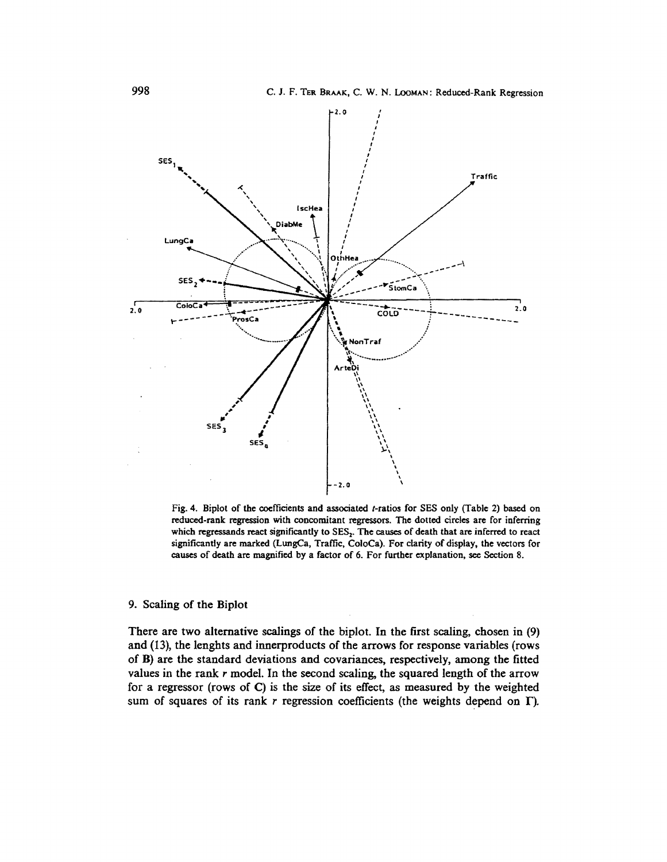

Fig. 4. Biplot of the coefficients and associated t-ratios for SES only (Table 2) based on reduced-rank regression with concomitant regressors. The dotted circles are for inferring which regressands react significantly to SES,. The causes of death that are inferred to react significantly are marked (LungCa, Traffic, ColoCa). For clarity of display, the vectors for causes of death are magnified by a factor of 6. For further explanation, see Section 8.

### 9. Scaling of the Biplot

There are two alternative scalings of the biplot. In the first scaling, chosen in (9) and (13), the lenghts and innerproducts of the arrows for response variables (rows of B) are the standard deviations and covariances, respectively, among the fitted values in the rank r model. In the second scaling, the squared length of the arrow for a regressor (rows of C) is the size of its effect, as measured by the weighted sum of squares of its rank *r* regression coefficients (the weights depend on  $\Gamma$ ).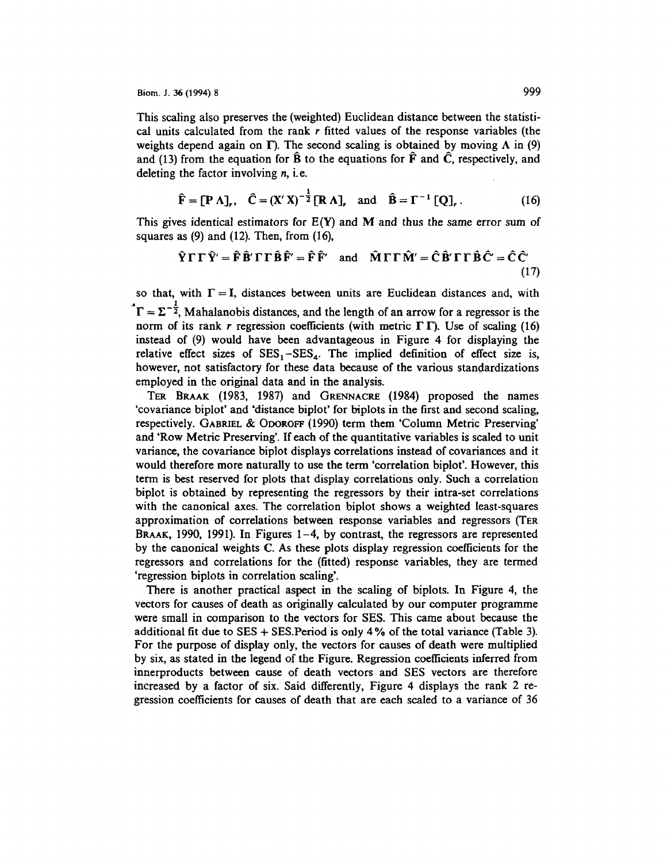This scaling also preserves the (weighted) Euclidean distance between the statistical units calculated from the rank *r* fitted values of the response variables (the weights depend again on  $\Gamma$ ). The second scaling is obtained by moving  $\Lambda$  in (9) and (13) from the equation for  $\hat{B}$  to the equations for  $\hat{F}$  and  $\hat{C}$ , respectively, and deleting the factor involving *n,* i.e.

$$
\hat{\mathbf{F}} = [\mathbf{P} \Lambda]_r, \quad \hat{\mathbf{C}} = (\mathbf{X}' \mathbf{X})^{-\frac{1}{2}} [\mathbf{R} \Lambda]_r \quad \text{and} \quad \hat{\mathbf{B}} = \Gamma^{-1} [\mathbf{Q}]_r. \tag{16}
$$

This gives identical estimators for  $E(Y)$  and M and thus the same error sum of squares as  $(9)$  and  $(12)$ . Then, from  $(16)$ ,

$$
\hat{\mathbf{Y}}\Gamma\Gamma\hat{\mathbf{Y}}' = \hat{\mathbf{F}}\hat{\mathbf{B}}'\Gamma\Gamma\hat{\mathbf{B}}\hat{\mathbf{F}}' = \hat{\mathbf{F}}\hat{\mathbf{F}}'
$$
 and 
$$
\hat{\mathbf{M}}\Gamma\Gamma\hat{\mathbf{M}}' = \hat{\mathbf{C}}\hat{\mathbf{B}}'\Gamma\Gamma\hat{\mathbf{B}}\hat{\mathbf{C}} = \hat{\mathbf{C}}\hat{\mathbf{C}}'
$$
(17)

so that, with  $\Gamma = I$ , distances between units are Euclidean distances and, with  $\mathbf{r} = \Sigma^{-\frac{1}{2}}$ , Mahalanobis distances, and the length of an arrow for a regressor is the norm of its rank r regression coefficients (with metric  $\Gamma \Gamma$ ). Use of scaling (16) instead of (9) would have been advantageous in Figure 4 for displaying the relative effect sizes of  $SES_1 - SES_4$ . The implied definition of effect size is, however, not satisfactory for these data because of the various standardizations employed in the original data and in the analysis.

TER BRAAK (1983, 1987) and GRENNACRE (1984) proposed the names 'covariance biplot' and 'distance biplot' for biplots in the first and second scaling, respectively. GABRIEL & OooROFF (1990) term them 'Column Metric Preserving' and 'Row Metric Preserving'. If each of the quantitative variables is scaled to unit variance, the covariance biplot displays correlations instead of covariances and it would therefore more naturally to use the term 'correlation biplot'. However, this term is best reserved for plots that display correlations only. Such a correlation biplot is obtained by representing the regressors by their intra-set correlations with the canonical axes. The correlation biplot shows a weighted least-squares approximation of correlations between response variables and regressors (TER BRAAK, 1990, 1991). In Figures 1-4, by contrast, the regressors are represented by the canonical weights C. As these plots display regression coefficients for the regressors and correlations for the (fitted) response variables, they are termed 'regression biplots in correlation scaling'.

There is another practical aspect in the scaling of biplots. In Figure 4, the vectors for causes of death as originally calculated by our computer programme were small in comparison to the vectors for SES. This came about because the additional fit due to  $SES + SES$ . Period is only 4% of the total variance (Table 3). For the purpose of display only, the vectors for causes of death were multiplied by six, as stated in the legend of the Figure. Regression coefficients inferred from innerproducts between cause of death vectors and SES vectors are therefore increased by a factor of six. Said differently, Figure 4 displays the rank 2 regression coefficients for causes of death that are each scaled to a variance of 36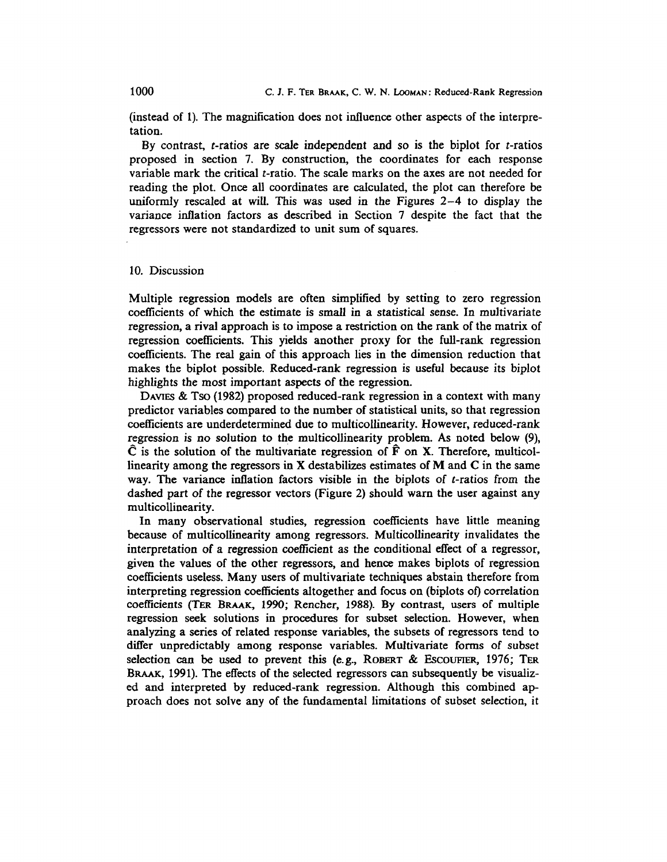(instead of 1). The magnification does not influence other aspects of the interpretation.

By contrast,  $t$ -ratios are scale independent and so is the biplot for  $t$ -ratios proposed in section 7. By construction, the coordinates for each response variable mark the critical t-ratio. The scale marks on the axes are not needed for reading the plot. Once all coordinates are calculated, the plot can therefore be uniformly rescaled at will. This was used in the Figures 2-4 to display the variance inflation factors as described in Section 7 despite the fact that the regressors were not standardized to unit sum of squares.

### 10. Discussion

Multiple regression models are often simplified by setting to zero regression coefficients of which the estimate is small in a statistical sense. In multivariate regression, a rival approach is to impose a restriction on the rank of the matrix of regression coefficients. This yields another proxy for the full-rank regression coefficients. The real gain of this approach lies in the dimension reduction that makes the biplot possible. Reduced-rank regression is useful because its biplot highlights the most important aspects of the regression.

DAVIES & Tso (1982) proposed reduced-rank regression in a context with many predictor variables compared to the number of statistical units, so that regression coefficients are underdetermined due to multicollinearity. However, reduced-rank regression is no solution to the multicollinearity problem. As noted below (9),  $\hat{C}$  is the solution of the multivariate regression of  $\hat{F}$  on X. Therefore, multicollinearity among the regressors in X destabilizes estimates of M and C in the same way. The variance inflation factors visible in the biplots of t-ratios from the dashed part of the regressor vectors (Figure 2) should warn the user against any multicollinearity.

In many observational studies, regression coefficients have little meaning because of multicollinearity among regressors. Multicollinearity invalidates the interpretation of a regression coefficient as the conditional effect of a regressor, given the values of the other regressors, and hence makes biplots of regression coefficients useless. Many users of multivariate techniques abstain therefore from interpreting regression coefficients altogether and focus on (biplots of) correlation coefficients (TER BRAAK, 1990; Rencher, 1988). By contrast, users of multiple regression seek solutions in procedures for subset selection. However, when analyzing a series of related response variables, the subsets of regressors tend to differ unpredictably among response variables. Multivariate forms of subset selection can be used to prevent this (e.g., ROBERT & ESCOUFIER, 1976; TER BRAAK, 1991). The effects of the selected regressors can subsequently be visualized and interpreted by reduced-rank regression. Although this combined approach does not solve any of the fundamental limitations of subset selection, it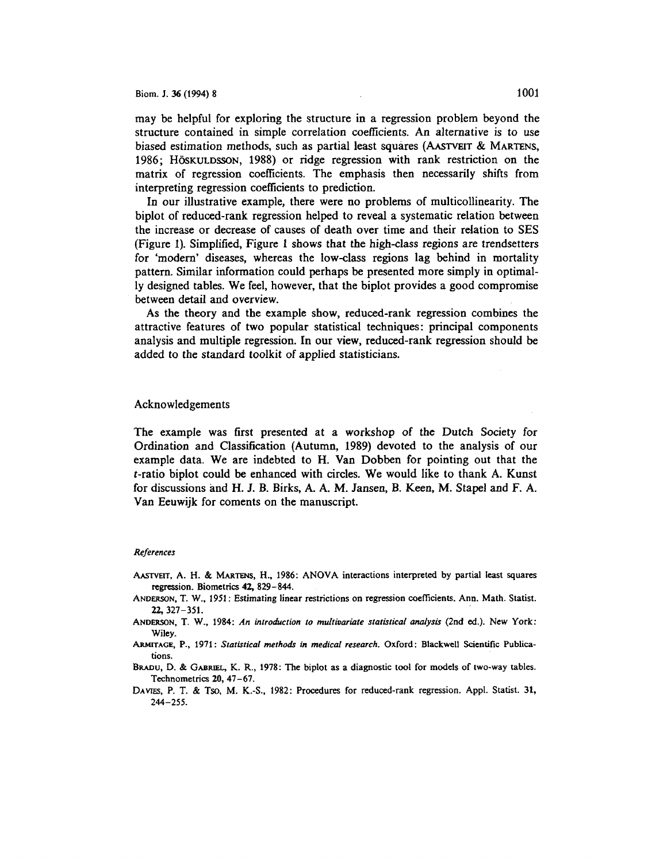may be helpful for exploring the structure in a regression problem beyond the structure contained in simple correlation coefficients. An alternative is to use biased estimation methods, such as partial least squares (AAsTVEIT & MARTENS, 1986; Höskuldsson, 1988) or ridge regression with rank restriction on the matrix of regression coefficients. The emphasis then necessarily shifts from interpreting regression coefficients to prediction.

In our illustrative example, there were no problems of multicollinearity. The biplot of reduced-rank regression helped to reveal a systematic relation between the increase or decrease of causes of death over time and their relation to SES (Figure 1). Simplified, Figure 1 shows that the high-class regions are trendsetters for 'modem' diseases, whereas the low-class regions lag behind in mortality pattern. Similar information could perhaps be presented more simply in optimally designed tables. We feel, however, that the biplot provides a good compromise between detail and overview.

As the theory and the example show, reduced-rank regression combines the attractive features of two popular statistical techniques: principal components analysis and multiple regression. In our view, reduced-rank regression should be added to the standard toolkit of applied statisticians.

#### Acknowledgements

The example was first presented at a workshop of the Dutch Society for Ordination and Classification (Autumn, 1989) devoted to the analysis of our example data. We are indebted to H. Van Dobben for pointing out that the t-ratio biplot could be enhanced with circles. We would like to thank A. Kunst for discussions and H. J. B. Birks, A. A.M. Jansen, B. Keen, M. Stapel and F. A. Van Eeuwijk for coments on the manuscript.

#### *References*

- AAsrvEIT, A. H. & MARTENS, H., 1986: ANOVA interactions interpreted by partial least squares regression. Biometrics 42, 829-844.
- ANDERSON, T. W., 1951: Estimating linear restrictions on regression coefficients. Ann. Math. Statist. 22, 327-351.
- ANDERSON, T. W., 1984: *An introduction to multivariate statistical analysis* (2nd ed.). New York: Wiley.
- ARMITAGE, P., 1971: *Statistical methods* in *medical research.* Oxford: Blackwell Scientific Publications.
- BRADu, D. & GABRIEL, K. R., 1978: The biplot as a diagnostic tool for models of two-way tables. Technometrics 20, 47-67.
- DAVIES, P. T. & Tso, M. K.-S., 1982: Procedures for reduced-rank regression. Appl. Statist. 31, 244-255.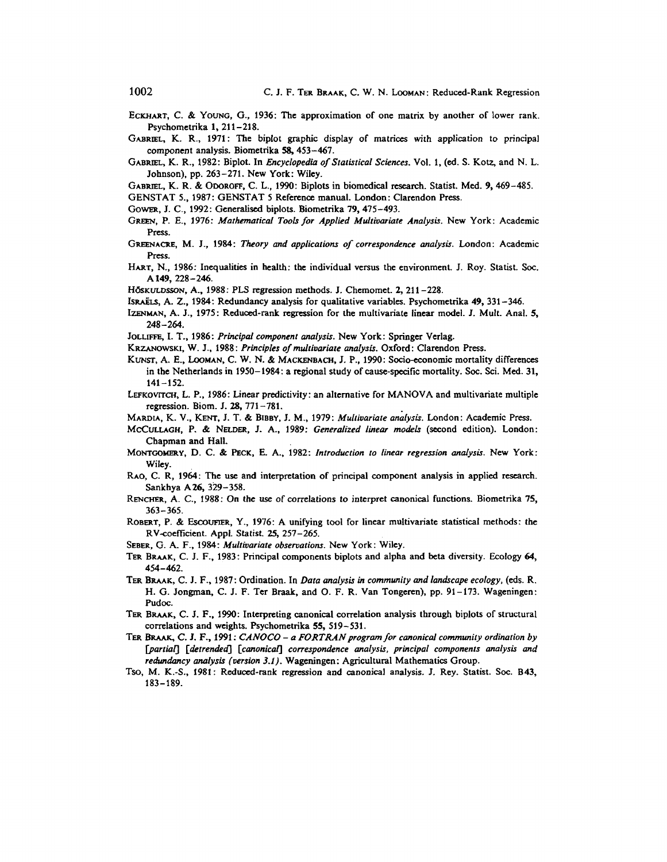EcKHART, C. & YoUNG, G., 1936: The approximation of one matrix by another of lower rank. Psychometrika 1, 211-218.

GABRIEL, K. R., 1971: The biplot graphic display of matrices with application to principal component analysis. Biometrika 58, 453-467.

GABRIEL, K. R., 1982: Biplot. In *Encyclopedia of Statistical Sciences.* Vol. 1, (ed. S. Kotz, and N. L. Johnson), pp. 263-271. New York: Wiley.

GABRIEL, K. R. & OooROFF, C. L., 1990: Biplots in biomedical research. Statist. Med. 9, 469-485.

- GENSTAT 5., 1987: GENSTAT *5* Reference manual. London: Clarendon Press.
- GoWER, J. C., 1992: Generalised biplots. Biometrika 79, 475-493.
- GREEN, P. E., 1976: *Mathematical Tools for Applied Multivariate Analysis.* New York: Academic Press.
- GREENACRE, M. J., 1984: *Theory* and *applications of correspondence analysis.* London: Academic Press.
- HART, N., 1986: Inequalities in health: the individual versus the environment. J. Roy. Statist. Soc. Al49, 228-246.
- HōskuLDsson, A., 1988: PLS regression methods. J. Chemomet. 2, 211-228.
- IsraELS, A. Z., 1984: Redundancy analysis for qualitative variables. Psychometrika 49, 331-346.
- IZENMAN, A. J., 1975: Reduced-rank regression for the multivariate linear model. J. Mult. Anal. 5, 248-264.
- JoLLIFFE, I. T., 1986: *Principal component analysis.* New York: Springer Verlag.
- KRZANOWSKI, W. J., 1988: *Principles of multivariate analysis.* Oxford: Clarendon Press.
- KUNST, A. E., LooMAN, C. W. N. & MACKENBACH, J.P., 1990: Socio-economic mortality differences in the Netherlands in 1950-1984: a regional study of cause-specific mortality. Soc. Sci. Med. 31, 141-152.
- LEFROVITCH, L. P., 1986: Linear predictivity: an alternative for MANOVA and multivariate multiple regression. Biom. J. 28, 771-781. .
- MARDIA, K. V., KENT, J. T. & BIBBY, J. M., 1979: *Multivariate analysis.* London: Academic Press.
- McCULLAGH, P. & NELDER, J. A., 1989: *Generalized linear models* (second edition). London: Chapman and Hall.
- MoNTGOMERY, D. C. & PEcK, E. A., 1982: *Introduction to linear regression analysis.* New York: Wiley.
- RAO, C. R, 1964: The use and interpretation of principal component analysis in applied research. Sankhya A26, 329-358.
- RENCHER, A. C., 1988: On the use of correlations to interpret canonical functions. Biometrika 75, 363-365.
- ROBERT, P. & EscoUFIER, Y., 1976: A unifying tool for linear multivariate statistical methods: the RV-coefficient. Appl. Statist. 25, 257-265.
- SEBER, G. A. F., 1984: *Multivariate observations.* New York: Wiley.
- TER BRAAK, C. J. F., 1983: Principal components biplots and alpha and beta diversity. Ecology 64, 454-462.
- TER BRAAK, C. J. F., 1987: Ordination. In *Data analysis in community and landscape ecology,* (eds. R. H. G. Jongman, C. J. F. Ter Braak, and 0. F. R. Van Tongeren), pp. 91-173. Wageningen: Pudoc.
- TER BRAAK, C. J. F., 1990: Interpreting canonical correlation analysis through biplots of structural correlations and weights. Psychometrika 55, 519-531.
- TER BRAAK, C. J. F., 1991: *CANOCO a FORTRAN program for canonical community ordination by* [partial] [detrended] [canonical] correspondence analysis, principal components analysis and *redundancy analysis (version 3.1).* Wageningen: Agricultural Mathematics Group.
- Tso, M. K.-S., 1981: Reduced-rank regression and canonical analysis. J. Rey. Statist. Soc. 843, 183-189.